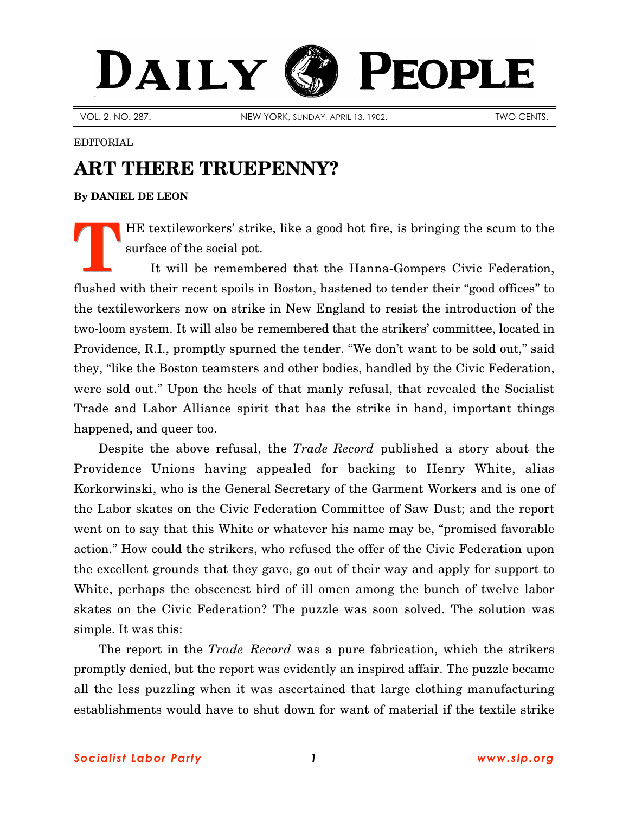## DAILY **PEOPLE**

VOL. 2, NO. 287. NEW YORK, SUNDAY, APRIL 13, 1902. TWO CENTS.

## EDITORIAL

## **ART THERE TRUEPENNY?**

**By [DANIEL DE LEON](http://slp.org/De_Leon.htm)**

HE textileworkers' strike, like a good hot fire, is bringing the scum to the surface of the social pot.

It will be remembered that the Hanna-Gompers Civic Federation, flushed with their recent spoils in Boston, hastened to tender their "good offices" to the textileworkers now on strike in New England to resist the introduction of the two-loom system. It will also be remembered that the strikers' committee, located in Providence, R.I., promptly spurned the tender. "We don't want to be sold out," said they, "like the Boston teamsters and other bodies, handled by the Civic Federation, were sold out." Upon the heels of that manly refusal, that revealed the Socialist Trade and Labor Alliance spirit that has the strike in hand, important things happened, and queer too. **T**

Despite the above refusal, the *Trade Record* published a story about the Providence Unions having appealed for backing to Henry White, alias Korkorwinski, who is the General Secretary of the Garment Workers and is one of the Labor skates on the Civic Federation Committee of Saw Dust; and the report went on to say that this White or whatever his name may be, "promised favorable action." How could the strikers, who refused the offer of the Civic Federation upon the excellent grounds that they gave, go out of their way and apply for support to White, perhaps the obscenest bird of ill omen among the bunch of twelve labor skates on the Civic Federation? The puzzle was soon solved. The solution was simple. It was this:

The report in the *Trade Record* was a pure fabrication, which the strikers promptly denied, but the report was evidently an inspired affair. The puzzle became all the less puzzling when it was ascertained that large clothing manufacturing establishments would have to shut down for want of material if the textile strike